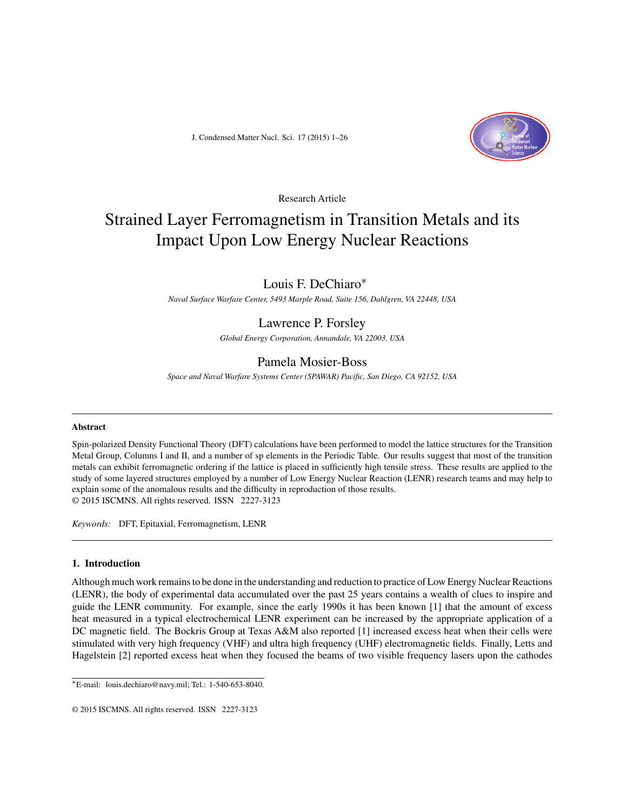

Research Article

# Strained Layer Ferromagnetism in Transition Metals and its Impact Upon Low Energy Nuclear Reactions

# Louis F. DeChiaro∗

*Naval Surface Warfare Center, 5493 Marple Road, Suite 156, Dahlgren, VA 22448, USA*

# Lawrence P. Forsley

*Global Energy Corporation, Annandale, VA 22003, USA*

# Pamela Mosier-Boss

*Space and Naval Warfare Systems Center (SPAWAR) Pacific, San Diego, CA 92152, USA*

#### **Abstract**

Spin-polarized Density Functional Theory (DFT) calculations have been performed to model the lattice structures for the Transition Metal Group, Columns I and II, and a number of sp elements in the Periodic Table. Our results suggest that most of the transition metals can exhibit ferromagnetic ordering if the lattice is placed in sufficiently high tensile stress. These results are applied to the study of some layered structures employed by a number of Low Energy Nuclear Reaction (LENR) research teams and may help to explain some of the anomalous results and the difficulty in reproduction of those results. © 2015 ISCMNS. All rights reserved. ISSN 2227-3123

*Keywords:* DFT, Epitaxial, Ferromagnetism, LENR

# **1. Introduction**

Although much work remains to be done in the understanding and reduction to practice of Low Energy Nuclear Reactions (LENR), the body of experimental data accumulated over the past 25 years contains a wealth of clues to inspire and guide the LENR community. For example, since the early 1990s it has been known [1] that the amount of excess heat measured in a typical electrochemical LENR experiment can be increased by the appropriate application of a DC magnetic field. The Bockris Group at Texas A&M also reported [1] increased excess heat when their cells were stimulated with very high frequency (VHF) and ultra high frequency (UHF) electromagnetic fields. Finally, Letts and Hagelstein [2] reported excess heat when they focused the beams of two visible frequency lasers upon the cathodes

<sup>∗</sup>E-mail: louis.dechiaro@navy.mil; Tel.: 1-540-653-8040.

<sup>© 2015</sup> ISCMNS. All rights reserved. ISSN 2227-3123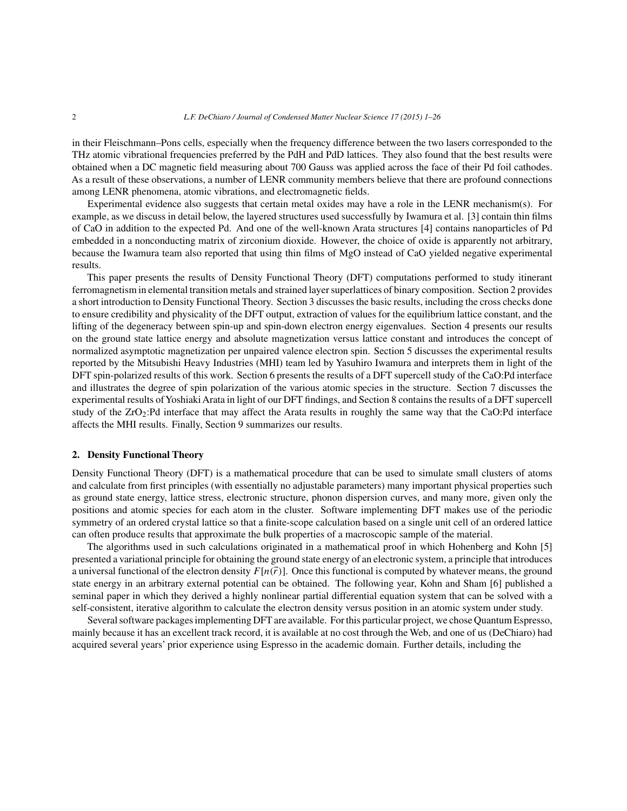in their Fleischmann–Pons cells, especially when the frequency difference between the two lasers corresponded to the THz atomic vibrational frequencies preferred by the PdH and PdD lattices. They also found that the best results were obtained when a DC magnetic field measuring about 700 Gauss was applied across the face of their Pd foil cathodes. As a result of these observations, a number of LENR community members believe that there are profound connections among LENR phenomena, atomic vibrations, and electromagnetic fields.

Experimental evidence also suggests that certain metal oxides may have a role in the LENR mechanism(s). For example, as we discuss in detail below, the layered structures used successfully by Iwamura et al. [3] contain thin films of CaO in addition to the expected Pd. And one of the well-known Arata structures [4] contains nanoparticles of Pd embedded in a nonconducting matrix of zirconium dioxide. However, the choice of oxide is apparently not arbitrary, because the Iwamura team also reported that using thin films of MgO instead of CaO yielded negative experimental results.

This paper presents the results of Density Functional Theory (DFT) computations performed to study itinerant ferromagnetism in elemental transition metals and strained layer superlattices of binary composition. Section 2 provides a short introduction to Density Functional Theory. Section 3 discusses the basic results, including the cross checks done to ensure credibility and physicality of the DFT output, extraction of values for the equilibrium lattice constant, and the lifting of the degeneracy between spin-up and spin-down electron energy eigenvalues. Section 4 presents our results on the ground state lattice energy and absolute magnetization versus lattice constant and introduces the concept of normalized asymptotic magnetization per unpaired valence electron spin. Section 5 discusses the experimental results reported by the Mitsubishi Heavy Industries (MHI) team led by Yasuhiro Iwamura and interprets them in light of the DFT spin-polarized results of this work. Section 6 presents the results of a DFT supercell study of the CaO:Pd interface and illustrates the degree of spin polarization of the various atomic species in the structure. Section 7 discusses the experimental results ofYoshiaki Arata in light of our DFT findings, and Section 8 contains the results of a DFT supercell study of the  $ZrO_2$ :Pd interface that may affect the Arata results in roughly the same way that the CaO:Pd interface affects the MHI results. Finally, Section 9 summarizes our results.

## **2. Density Functional Theory**

Density Functional Theory (DFT) is a mathematical procedure that can be used to simulate small clusters of atoms and calculate from first principles (with essentially no adjustable parameters) many important physical properties such as ground state energy, lattice stress, electronic structure, phonon dispersion curves, and many more, given only the positions and atomic species for each atom in the cluster. Software implementing DFT makes use of the periodic symmetry of an ordered crystal lattice so that a finite-scope calculation based on a single unit cell of an ordered lattice can often produce results that approximate the bulk properties of a macroscopic sample of the material.

The algorithms used in such calculations originated in a mathematical proof in which Hohenberg and Kohn [5] presented a variational principle for obtaining the ground state energy of an electronic system, a principle that introduces a universal functional of the electron density  $F[n(\vec{r})]$ . Once this functional is computed by whatever means, the ground state energy in an arbitrary external potential can be obtained. The following year, Kohn and Sham [6] published a seminal paper in which they derived a highly nonlinear partial differential equation system that can be solved with a self-consistent, iterative algorithm to calculate the electron density versus position in an atomic system under study.

Several software packages implementing DFT are available. For this particular project, we chose Quantum Espresso, mainly because it has an excellent track record, it is available at no cost through the Web, and one of us (DeChiaro) had acquired several years' prior experience using Espresso in the academic domain. Further details, including the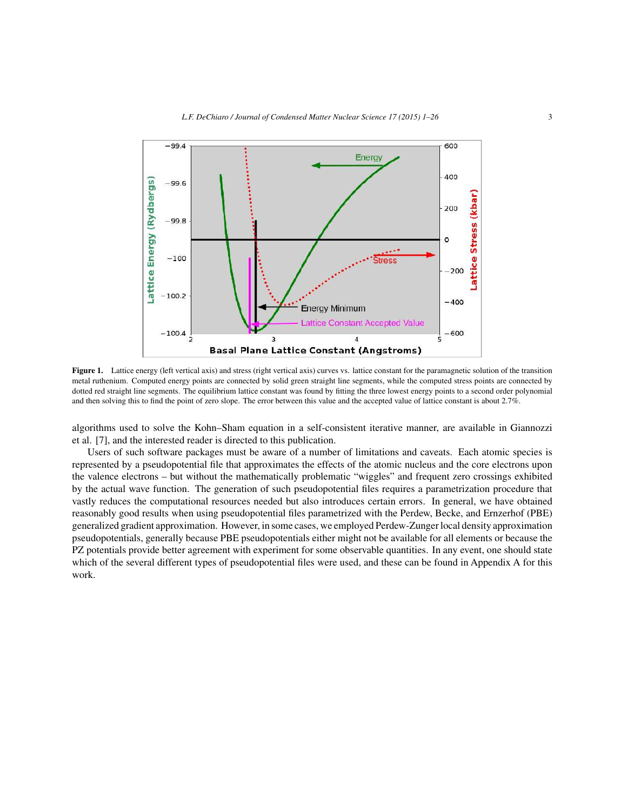

**Figure 1.** Lattice energy (left vertical axis) and stress (right vertical axis) curves vs. lattice constant for the paramagnetic solution of the transition metal ruthenium. Computed energy points are connected by solid green straight line segments, while the computed stress points are connected by dotted red straight line segments. The equilibrium lattice constant was found by fitting the three lowest energy points to a second order polynomial and then solving this to find the point of zero slope. The error between this value and the accepted value of lattice constant is about 2.7%.

algorithms used to solve the Kohn–Sham equation in a self-consistent iterative manner, are available in Giannozzi et al. [7], and the interested reader is directed to this publication.

Users of such software packages must be aware of a number of limitations and caveats. Each atomic species is represented by a pseudopotential file that approximates the effects of the atomic nucleus and the core electrons upon the valence electrons – but without the mathematically problematic "wiggles" and frequent zero crossings exhibited by the actual wave function. The generation of such pseudopotential files requires a parametrization procedure that vastly reduces the computational resources needed but also introduces certain errors. In general, we have obtained reasonably good results when using pseudopotential files parametrized with the Perdew, Becke, and Ernzerhof (PBE) generalized gradient approximation. However, in some cases, we employed Perdew-Zunger local density approximation pseudopotentials, generally because PBE pseudopotentials either might not be available for all elements or because the PZ potentials provide better agreement with experiment for some observable quantities. In any event, one should state which of the several different types of pseudopotential files were used, and these can be found in Appendix A for this work.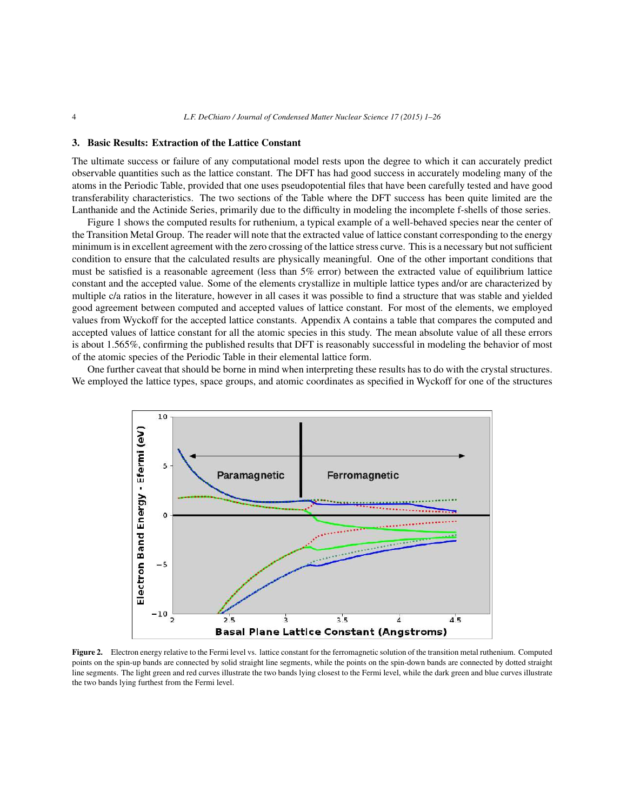#### **3. Basic Results: Extraction of the Lattice Constant**

The ultimate success or failure of any computational model rests upon the degree to which it can accurately predict observable quantities such as the lattice constant. The DFT has had good success in accurately modeling many of the atoms in the Periodic Table, provided that one uses pseudopotential files that have been carefully tested and have good transferability characteristics. The two sections of the Table where the DFT success has been quite limited are the Lanthanide and the Actinide Series, primarily due to the difficulty in modeling the incomplete f-shells of those series.

Figure 1 shows the computed results for ruthenium, a typical example of a well-behaved species near the center of the Transition Metal Group. The reader will note that the extracted value of lattice constant corresponding to the energy minimum is in excellent agreement with the zero crossing of the lattice stress curve. This is a necessary but not sufficient condition to ensure that the calculated results are physically meaningful. One of the other important conditions that must be satisfied is a reasonable agreement (less than 5% error) between the extracted value of equilibrium lattice constant and the accepted value. Some of the elements crystallize in multiple lattice types and/or are characterized by multiple c/a ratios in the literature, however in all cases it was possible to find a structure that was stable and yielded good agreement between computed and accepted values of lattice constant. For most of the elements, we employed values from Wyckoff for the accepted lattice constants. Appendix A contains a table that compares the computed and accepted values of lattice constant for all the atomic species in this study. The mean absolute value of all these errors is about 1.565%, confirming the published results that DFT is reasonably successful in modeling the behavior of most of the atomic species of the Periodic Table in their elemental lattice form.

One further caveat that should be borne in mind when interpreting these results has to do with the crystal structures. We employed the lattice types, space groups, and atomic coordinates as specified in Wyckoff for one of the structures



**Figure 2.** Electron energy relative to the Fermi level vs. lattice constant for the ferromagnetic solution of the transition metal ruthenium. Computed points on the spin-up bands are connected by solid straight line segments, while the points on the spin-down bands are connected by dotted straight line segments. The light green and red curves illustrate the two bands lying closest to the Fermi level, while the dark green and blue curves illustrate the two bands lying furthest from the Fermi level.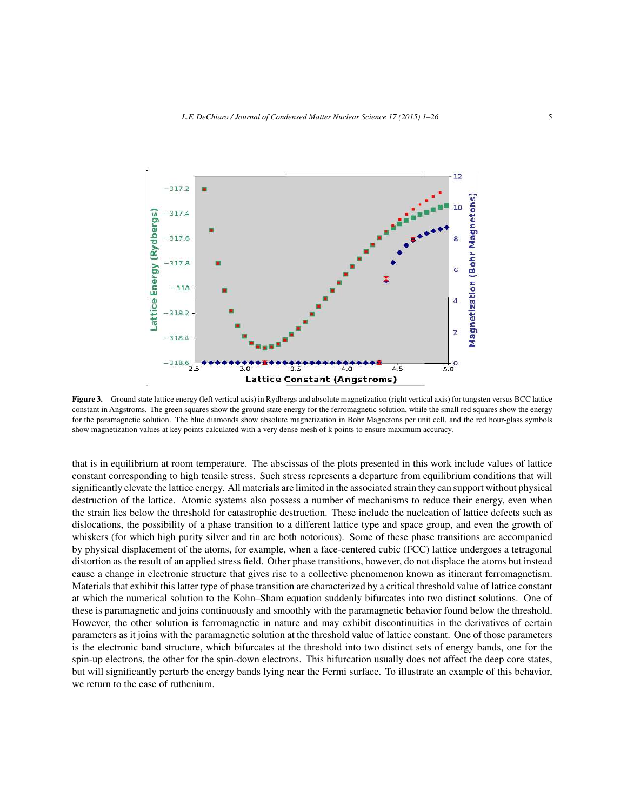

**Figure 3.** Ground state lattice energy (left vertical axis) in Rydbergs and absolute magnetization (right vertical axis) for tungsten versus BCC lattice constant in Angstroms. The green squares show the ground state energy for the ferromagnetic solution, while the small red squares show the energy for the paramagnetic solution. The blue diamonds show absolute magnetization in Bohr Magnetons per unit cell, and the red hour-glass symbols show magnetization values at key points calculated with a very dense mesh of k points to ensure maximum accuracy.

that is in equilibrium at room temperature. The abscissas of the plots presented in this work include values of lattice constant corresponding to high tensile stress. Such stress represents a departure from equilibrium conditions that will significantly elevate the lattice energy. All materials are limited in the associated strain they can support without physical destruction of the lattice. Atomic systems also possess a number of mechanisms to reduce their energy, even when the strain lies below the threshold for catastrophic destruction. These include the nucleation of lattice defects such as dislocations, the possibility of a phase transition to a different lattice type and space group, and even the growth of whiskers (for which high purity silver and tin are both notorious). Some of these phase transitions are accompanied by physical displacement of the atoms, for example, when a face-centered cubic (FCC) lattice undergoes a tetragonal distortion as the result of an applied stress field. Other phase transitions, however, do not displace the atoms but instead cause a change in electronic structure that gives rise to a collective phenomenon known as itinerant ferromagnetism. Materials that exhibit this latter type of phase transition are characterized by a critical threshold value of lattice constant at which the numerical solution to the Kohn–Sham equation suddenly bifurcates into two distinct solutions. One of these is paramagnetic and joins continuously and smoothly with the paramagnetic behavior found below the threshold. However, the other solution is ferromagnetic in nature and may exhibit discontinuities in the derivatives of certain parameters as it joins with the paramagnetic solution at the threshold value of lattice constant. One of those parameters is the electronic band structure, which bifurcates at the threshold into two distinct sets of energy bands, one for the spin-up electrons, the other for the spin-down electrons. This bifurcation usually does not affect the deep core states, but will significantly perturb the energy bands lying near the Fermi surface. To illustrate an example of this behavior, we return to the case of ruthenium.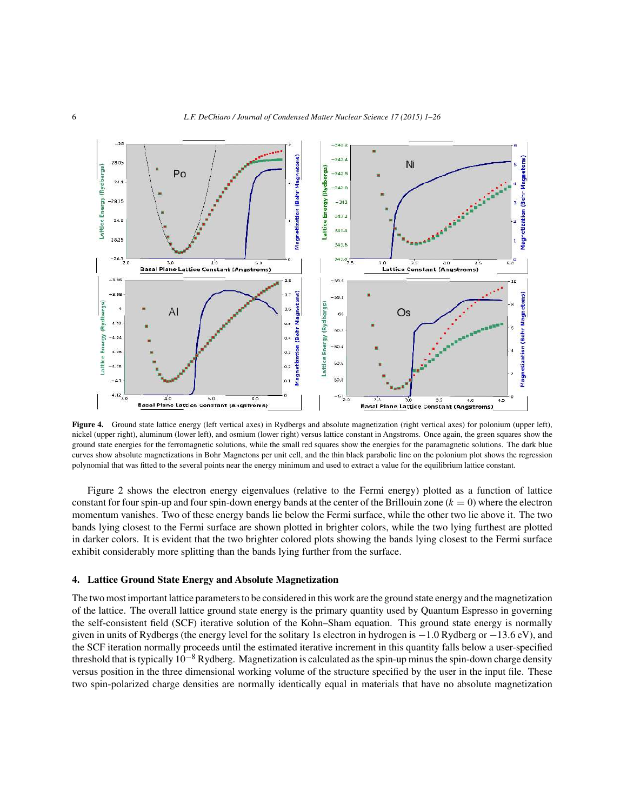

**Figure 4.** Ground state lattice energy (left vertical axes) in Rydbergs and absolute magnetization (right vertical axes) for polonium (upper left), nickel (upper right), aluminum (lower left), and osmium (lower right) versus lattice constant in Angstroms. Once again, the green squares show the ground state energies for the ferromagnetic solutions, while the small red squares show the energies for the paramagnetic solutions. The dark blue curves show absolute magnetizations in Bohr Magnetons per unit cell, and the thin black parabolic line on the polonium plot shows the regression polynomial that was fitted to the several points near the energy minimum and used to extract a value for the equilibrium lattice constant.

Figure 2 shows the electron energy eigenvalues (relative to the Fermi energy) plotted as a function of lattice constant for four spin-up and four spin-down energy bands at the center of the Brillouin zone  $(k = 0)$  where the electron momentum vanishes. Two of these energy bands lie below the Fermi surface, while the other two lie above it. The two bands lying closest to the Fermi surface are shown plotted in brighter colors, while the two lying furthest are plotted in darker colors. It is evident that the two brighter colored plots showing the bands lying closest to the Fermi surface exhibit considerably more splitting than the bands lying further from the surface.

## **4. Lattice Ground State Energy and Absolute Magnetization**

The two most important lattice parameters to be considered in this work are the ground state energy and the magnetization of the lattice. The overall lattice ground state energy is the primary quantity used by Quantum Espresso in governing the self-consistent field (SCF) iterative solution of the Kohn–Sham equation. This ground state energy is normally given in units of Rydbergs (the energy level for the solitary 1s electron in hydrogen is −1.0 Rydberg or −13.6 eV), and the SCF iteration normally proceeds until the estimated iterative increment in this quantity falls below a user-specified threshold that is typically  $10^{-8}$  Rydberg. Magnetization is calculated as the spin-up minus the spin-down charge density versus position in the three dimensional working volume of the structure specified by the user in the input file. These two spin-polarized charge densities are normally identically equal in materials that have no absolute magnetization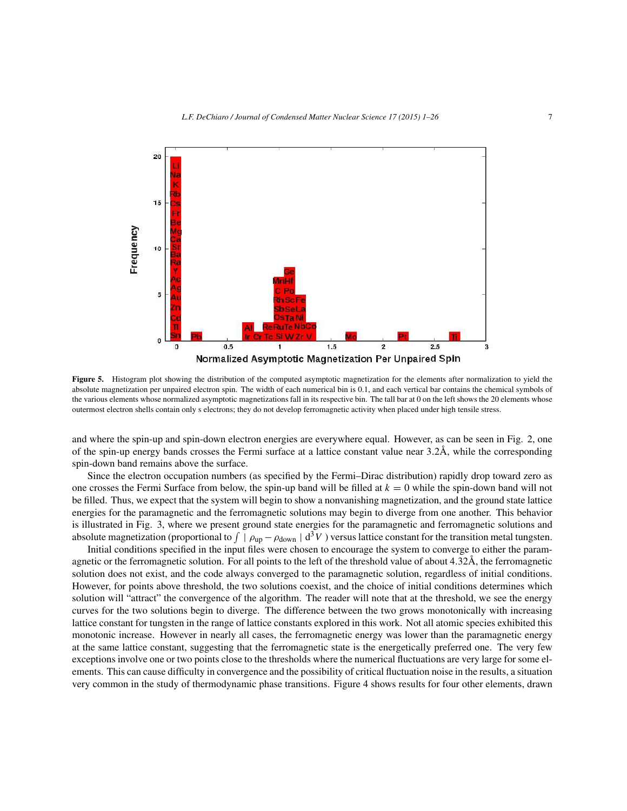

**Figure 5.** Histogram plot showing the distribution of the computed asymptotic magnetization for the elements after normalization to yield the absolute magnetization per unpaired electron spin. The width of each numerical bin is 0.1, and each vertical bar contains the chemical symbols of the various elements whose normalized asymptotic magnetizations fall in its respective bin. The tall bar at 0 on the left shows the 20 elements whose outermost electron shells contain only s electrons; they do not develop ferromagnetic activity when placed under high tensile stress.

and where the spin-up and spin-down electron energies are everywhere equal. However, as can be seen in Fig. 2, one of the spin-up energy bands crosses the Fermi surface at a lattice constant value near 3.2Å, while the corresponding spin-down band remains above the surface.

Since the electron occupation numbers (as specified by the Fermi–Dirac distribution) rapidly drop toward zero as one crosses the Fermi Surface from below, the spin-up band will be filled at  $k = 0$  while the spin-down band will not be filled. Thus, we expect that the system will begin to show a nonvanishing magnetization, and the ground state lattice energies for the paramagnetic and the ferromagnetic solutions may begin to diverge from one another. This behavior is illustrated in Fig. 3, where we present ground state energies for the paramagnetic and ferromagnetic solutions and absolute magnetization (proportional to  $\int \int \rho_{up} - \rho_{down} \mid d^3V$ ) versus lattice constant for the transition metal tungsten.

Initial conditions specified in the input files were chosen to encourage the system to converge to either the paramagnetic or the ferromagnetic solution. For all points to the left of the threshold value of about 4.32Å, the ferromagnetic solution does not exist, and the code always converged to the paramagnetic solution, regardless of initial conditions. However, for points above threshold, the two solutions coexist, and the choice of initial conditions determines which solution will "attract" the convergence of the algorithm. The reader will note that at the threshold, we see the energy curves for the two solutions begin to diverge. The difference between the two grows monotonically with increasing lattice constant for tungsten in the range of lattice constants explored in this work. Not all atomic species exhibited this monotonic increase. However in nearly all cases, the ferromagnetic energy was lower than the paramagnetic energy at the same lattice constant, suggesting that the ferromagnetic state is the energetically preferred one. The very few exceptions involve one or two points close to the thresholds where the numerical fluctuations are very large for some elements. This can cause difficulty in convergence and the possibility of critical fluctuation noise in the results, a situation very common in the study of thermodynamic phase transitions. Figure 4 shows results for four other elements, drawn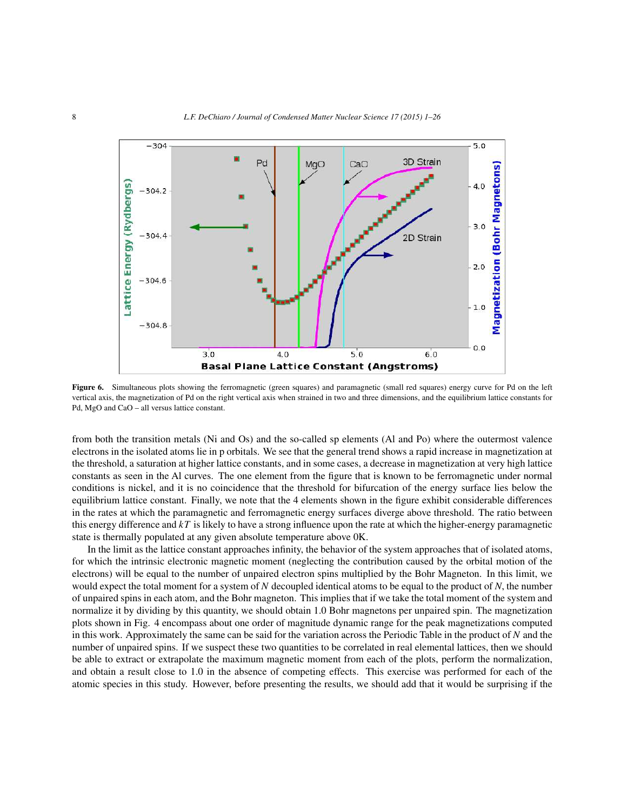

Figure 6. Simultaneous plots showing the ferromagnetic (green squares) and paramagnetic (small red squares) energy curve for Pd on the left vertical axis, the magnetization of Pd on the right vertical axis when strained in two and three dimensions, and the equilibrium lattice constants for Pd, MgO and CaO – all versus lattice constant.

from both the transition metals (Ni and Os) and the so-called sp elements (Al and Po) where the outermost valence electrons in the isolated atoms lie in p orbitals. We see that the general trend shows a rapid increase in magnetization at the threshold, a saturation at higher lattice constants, and in some cases, a decrease in magnetization at very high lattice constants as seen in the Al curves. The one element from the figure that is known to be ferromagnetic under normal conditions is nickel, and it is no coincidence that the threshold for bifurcation of the energy surface lies below the equilibrium lattice constant. Finally, we note that the 4 elements shown in the figure exhibit considerable differences in the rates at which the paramagnetic and ferromagnetic energy surfaces diverge above threshold. The ratio between this energy difference and  $kT$  is likely to have a strong influence upon the rate at which the higher-energy paramagnetic state is thermally populated at any given absolute temperature above 0K.

In the limit as the lattice constant approaches infinity, the behavior of the system approaches that of isolated atoms, for which the intrinsic electronic magnetic moment (neglecting the contribution caused by the orbital motion of the electrons) will be equal to the number of unpaired electron spins multiplied by the Bohr Magneton. In this limit, we would expect the total moment for a system of *N* decoupled identical atoms to be equal to the product of *N*, the number of unpaired spins in each atom, and the Bohr magneton. This implies that if we take the total moment of the system and normalize it by dividing by this quantity, we should obtain 1.0 Bohr magnetons per unpaired spin. The magnetization plots shown in Fig. 4 encompass about one order of magnitude dynamic range for the peak magnetizations computed in this work. Approximately the same can be said for the variation across the Periodic Table in the product of *N* and the number of unpaired spins. If we suspect these two quantities to be correlated in real elemental lattices, then we should be able to extract or extrapolate the maximum magnetic moment from each of the plots, perform the normalization, and obtain a result close to 1.0 in the absence of competing effects. This exercise was performed for each of the atomic species in this study. However, before presenting the results, we should add that it would be surprising if the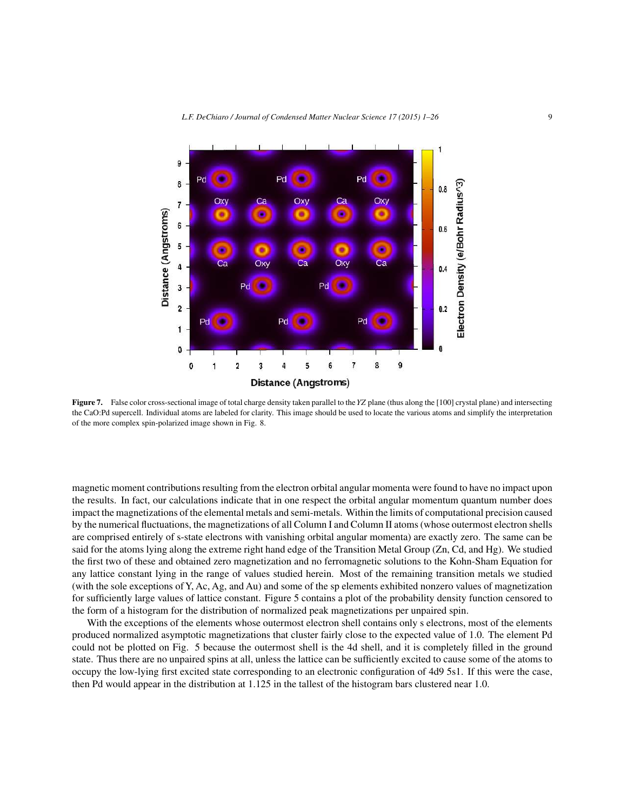

**Figure 7.** False color cross-sectional image of total charge density taken parallel to the YZ plane (thus along the [100] crystal plane) and intersecting the CaO:Pd supercell. Individual atoms are labeled for clarity. This image should be used to locate the various atoms and simplify the interpretation of the more complex spin-polarized image shown in Fig. 8.

magnetic moment contributions resulting from the electron orbital angular momenta were found to have no impact upon the results. In fact, our calculations indicate that in one respect the orbital angular momentum quantum number does impact the magnetizations of the elemental metals and semi-metals. Within the limits of computational precision caused by the numerical fluctuations, the magnetizations of all Column I and Column II atoms (whose outermost electron shells are comprised entirely of s-state electrons with vanishing orbital angular momenta) are exactly zero. The same can be said for the atoms lying along the extreme right hand edge of the Transition Metal Group (Zn, Cd, and Hg). We studied the first two of these and obtained zero magnetization and no ferromagnetic solutions to the Kohn-Sham Equation for any lattice constant lying in the range of values studied herein. Most of the remaining transition metals we studied (with the sole exceptions of Y, Ac, Ag, and Au) and some of the sp elements exhibited nonzero values of magnetization for sufficiently large values of lattice constant. Figure 5 contains a plot of the probability density function censored to the form of a histogram for the distribution of normalized peak magnetizations per unpaired spin.

With the exceptions of the elements whose outermost electron shell contains only s electrons, most of the elements produced normalized asymptotic magnetizations that cluster fairly close to the expected value of 1.0. The element Pd could not be plotted on Fig. 5 because the outermost shell is the 4d shell, and it is completely filled in the ground state. Thus there are no unpaired spins at all, unless the lattice can be sufficiently excited to cause some of the atoms to occupy the low-lying first excited state corresponding to an electronic configuration of 4d9 5s1. If this were the case, then Pd would appear in the distribution at 1.125 in the tallest of the histogram bars clustered near 1.0.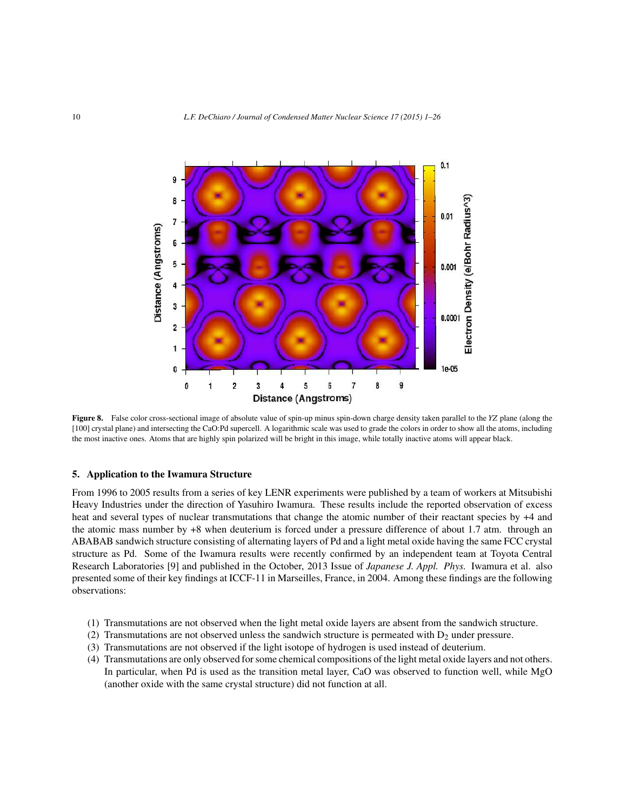

**Figure 8.** False color cross-sectional image of absolute value of spin-up minus spin-down charge density taken parallel to the *YZ* plane (along the [100] crystal plane) and intersecting the CaO:Pd supercell. A logarithmic scale was used to grade the colors in order to show all the atoms, including the most inactive ones. Atoms that are highly spin polarized will be bright in this image, while totally inactive atoms will appear black.

#### **5. Application to the Iwamura Structure**

From 1996 to 2005 results from a series of key LENR experiments were published by a team of workers at Mitsubishi Heavy Industries under the direction of Yasuhiro Iwamura. These results include the reported observation of excess heat and several types of nuclear transmutations that change the atomic number of their reactant species by  $+4$  and the atomic mass number by +8 when deuterium is forced under a pressure difference of about 1.7 atm. through an ABABAB sandwich structure consisting of alternating layers of Pd and a light metal oxide having the same FCC crystal structure as Pd. Some of the Iwamura results were recently confirmed by an independent team at Toyota Central Research Laboratories [9] and published in the October, 2013 Issue of *Japanese J. Appl. Phys.* Iwamura et al. also presented some of their key findings at ICCF-11 in Marseilles, France, in 2004. Among these findings are the following observations:

- (1) Transmutations are not observed when the light metal oxide layers are absent from the sandwich structure.
- (2) Transmutations are not observed unless the sandwich structure is permeated with  $D_2$  under pressure.
- (3) Transmutations are not observed if the light isotope of hydrogen is used instead of deuterium.
- (4) Transmutations are only observed for some chemical compositions of the light metal oxide layers and not others. In particular, when Pd is used as the transition metal layer, CaO was observed to function well, while MgO (another oxide with the same crystal structure) did not function at all.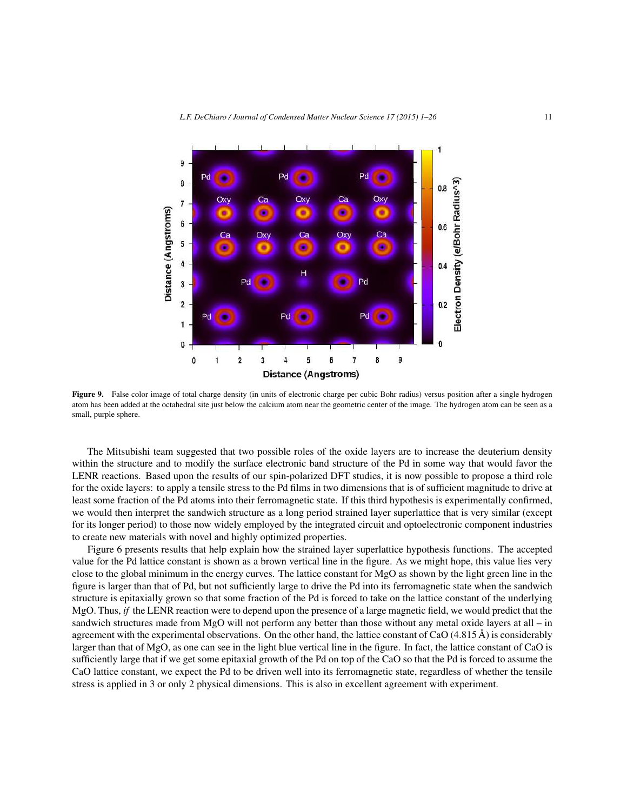

Figure 9. False color image of total charge density (in units of electronic charge per cubic Bohr radius) versus position after a single hydrogen atom has been added at the octahedral site just below the calcium atom near the geometric center of the image. The hydrogen atom can be seen as a small, purple sphere.

The Mitsubishi team suggested that two possible roles of the oxide layers are to increase the deuterium density within the structure and to modify the surface electronic band structure of the Pd in some way that would favor the LENR reactions. Based upon the results of our spin-polarized DFT studies, it is now possible to propose a third role for the oxide layers: to apply a tensile stress to the Pd films in two dimensions that is of sufficient magnitude to drive at least some fraction of the Pd atoms into their ferromagnetic state. If this third hypothesis is experimentally confirmed, we would then interpret the sandwich structure as a long period strained layer superlattice that is very similar (except for its longer period) to those now widely employed by the integrated circuit and optoelectronic component industries to create new materials with novel and highly optimized properties.

Figure 6 presents results that help explain how the strained layer superlattice hypothesis functions. The accepted value for the Pd lattice constant is shown as a brown vertical line in the figure. As we might hope, this value lies very close to the global minimum in the energy curves. The lattice constant for MgO as shown by the light green line in the figure is larger than that of Pd, but not sufficiently large to drive the Pd into its ferromagnetic state when the sandwich structure is epitaxially grown so that some fraction of the Pd is forced to take on the lattice constant of the underlying MgO. Thus, *if* the LENR reaction were to depend upon the presence of a large magnetic field, we would predict that the sandwich structures made from MgO will not perform any better than those without any metal oxide layers at all – in agreement with the experimental observations. On the other hand, the lattice constant of CaO (4.815 Å) is considerably larger than that of MgO, as one can see in the light blue vertical line in the figure. In fact, the lattice constant of CaO is sufficiently large that if we get some epitaxial growth of the Pd on top of the CaO so that the Pd is forced to assume the CaO lattice constant, we expect the Pd to be driven well into its ferromagnetic state, regardless of whether the tensile stress is applied in 3 or only 2 physical dimensions. This is also in excellent agreement with experiment.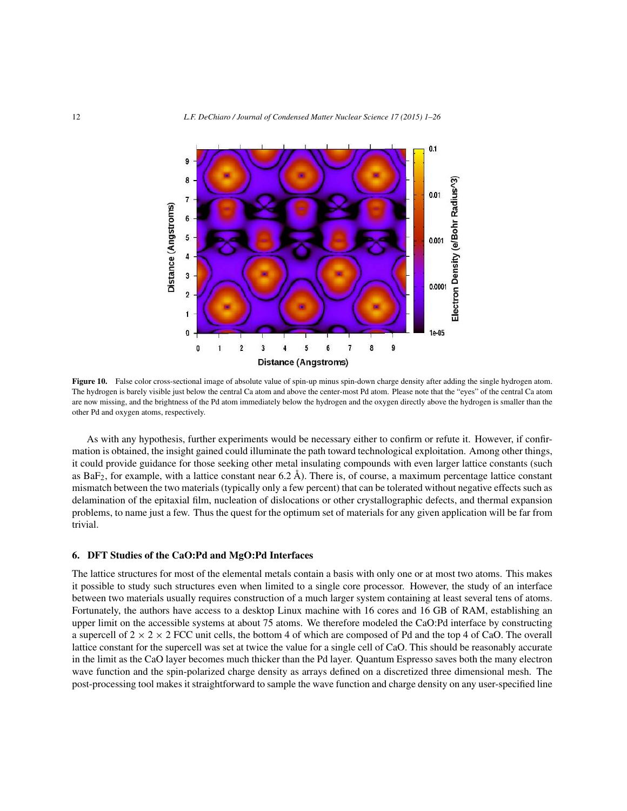

**Figure 10.** False color cross-sectional image of absolute value of spin-up minus spin-down charge density after adding the single hydrogen atom. The hydrogen is barely visible just below the central Ca atom and above the center-most Pd atom. Please note that the "eyes" of the central Ca atom are now missing, and the brightness of the Pd atom immediately below the hydrogen and the oxygen directly above the hydrogen is smaller than the other Pd and oxygen atoms, respectively.

As with any hypothesis, further experiments would be necessary either to confirm or refute it. However, if confirmation is obtained, the insight gained could illuminate the path toward technological exploitation. Among other things, it could provide guidance for those seeking other metal insulating compounds with even larger lattice constants (such as BaF<sub>2</sub>, for example, with a lattice constant near  $6.2 \text{ Å}$ ). There is, of course, a maximum percentage lattice constant mismatch between the two materials (typically only a few percent) that can be tolerated without negative effects such as delamination of the epitaxial film, nucleation of dislocations or other crystallographic defects, and thermal expansion problems, to name just a few. Thus the quest for the optimum set of materials for any given application will be far from trivial.

#### **6. DFT Studies of the CaO:Pd and MgO:Pd Interfaces**

The lattice structures for most of the elemental metals contain a basis with only one or at most two atoms. This makes it possible to study such structures even when limited to a single core processor. However, the study of an interface between two materials usually requires construction of a much larger system containing at least several tens of atoms. Fortunately, the authors have access to a desktop Linux machine with 16 cores and 16 GB of RAM, establishing an upper limit on the accessible systems at about 75 atoms. We therefore modeled the CaO:Pd interface by constructing a supercell of  $2 \times 2 \times 2$  FCC unit cells, the bottom 4 of which are composed of Pd and the top 4 of CaO. The overall lattice constant for the supercell was set at twice the value for a single cell of CaO. This should be reasonably accurate in the limit as the CaO layer becomes much thicker than the Pd layer. Quantum Espresso saves both the many electron wave function and the spin-polarized charge density as arrays defined on a discretized three dimensional mesh. The post-processing tool makes it straightforward to sample the wave function and charge density on any user-specified line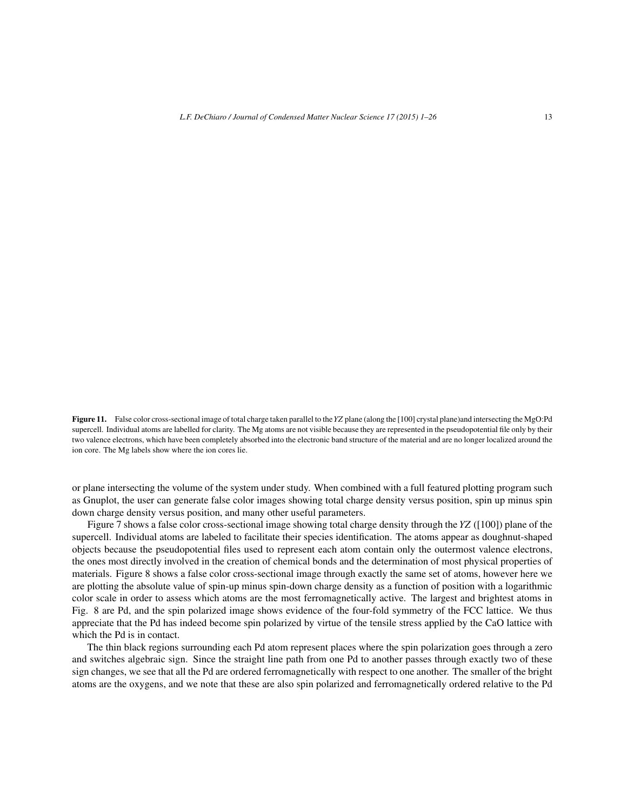**Figure 11.** False color cross-sectional image of total charge taken parallel to the*YZ* plane (along the [100] crystal plane)and intersecting the MgO:Pd supercell. Individual atoms are labelled for clarity. The Mg atoms are not visible because they are represented in the pseudopotential file only by their two valence electrons, which have been completely absorbed into the electronic band structure of the material and are no longer localized around the ion core. The Mg labels show where the ion cores lie.

or plane intersecting the volume of the system under study. When combined with a full featured plotting program such as Gnuplot, the user can generate false color images showing total charge density versus position, spin up minus spin down charge density versus position, and many other useful parameters.

Figure 7 shows a false color cross-sectional image showing total charge density through the *YZ* ([100]) plane of the supercell. Individual atoms are labeled to facilitate their species identification. The atoms appear as doughnut-shaped objects because the pseudopotential files used to represent each atom contain only the outermost valence electrons, the ones most directly involved in the creation of chemical bonds and the determination of most physical properties of materials. Figure 8 shows a false color cross-sectional image through exactly the same set of atoms, however here we are plotting the absolute value of spin-up minus spin-down charge density as a function of position with a logarithmic color scale in order to assess which atoms are the most ferromagnetically active. The largest and brightest atoms in Fig. 8 are Pd, and the spin polarized image shows evidence of the four-fold symmetry of the FCC lattice. We thus appreciate that the Pd has indeed become spin polarized by virtue of the tensile stress applied by the CaO lattice with which the Pd is in contact.

The thin black regions surrounding each Pd atom represent places where the spin polarization goes through a zero and switches algebraic sign. Since the straight line path from one Pd to another passes through exactly two of these sign changes, we see that all the Pd are ordered ferromagnetically with respect to one another. The smaller of the bright atoms are the oxygens, and we note that these are also spin polarized and ferromagnetically ordered relative to the Pd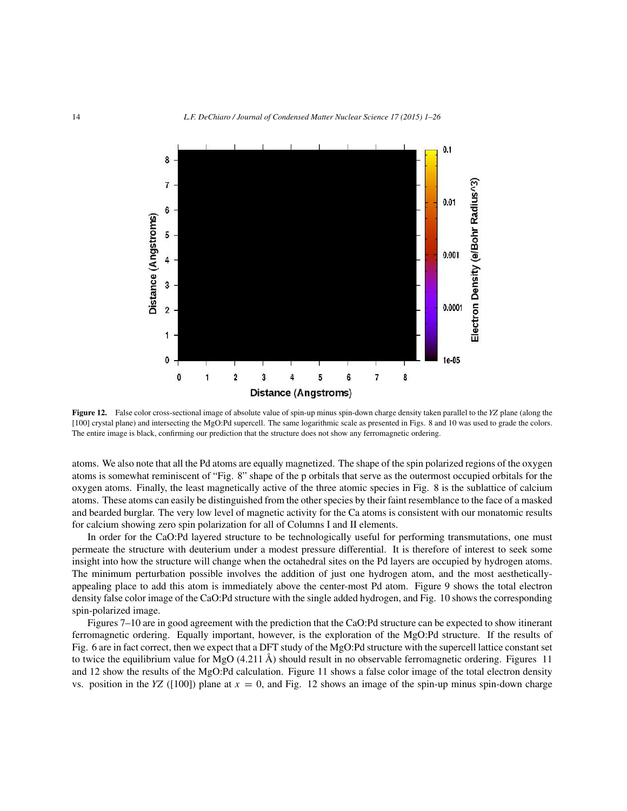

**Figure 12.** False color cross-sectional image of absolute value of spin-up minus spin-down charge density taken parallel to the *YZ* plane (along the [100] crystal plane) and intersecting the MgO:Pd supercell. The same logarithmic scale as presented in Figs. 8 and 10 was used to grade the colors. The entire image is black, confirming our prediction that the structure does not show any ferromagnetic ordering.

atoms. We also note that all the Pd atoms are equally magnetized. The shape of the spin polarized regions of the oxygen atoms is somewhat reminiscent of "Fig. 8" shape of the p orbitals that serve as the outermost occupied orbitals for the oxygen atoms. Finally, the least magnetically active of the three atomic species in Fig. 8 is the sublattice of calcium atoms. These atoms can easily be distinguished from the other species by their faint resemblance to the face of a masked and bearded burglar. The very low level of magnetic activity for the Ca atoms is consistent with our monatomic results for calcium showing zero spin polarization for all of Columns I and II elements.

In order for the CaO:Pd layered structure to be technologically useful for performing transmutations, one must permeate the structure with deuterium under a modest pressure differential. It is therefore of interest to seek some insight into how the structure will change when the octahedral sites on the Pd layers are occupied by hydrogen atoms. The minimum perturbation possible involves the addition of just one hydrogen atom, and the most aestheticallyappealing place to add this atom is immediately above the center-most Pd atom. Figure 9 shows the total electron density false color image of the CaO:Pd structure with the single added hydrogen, and Fig. 10 shows the corresponding spin-polarized image.

Figures 7–10 are in good agreement with the prediction that the CaO:Pd structure can be expected to show itinerant ferromagnetic ordering. Equally important, however, is the exploration of the MgO:Pd structure. If the results of Fig. 6 are in fact correct, then we expect that a DFT study of the MgO:Pd structure with the supercell lattice constant set to twice the equilibrium value for MgO (4.211 Å) should result in no observable ferromagnetic ordering. Figures 11 and 12 show the results of the MgO:Pd calculation. Figure 11 shows a false color image of the total electron density vs. position in the *YZ* ([100]) plane at  $x = 0$ , and Fig. 12 shows an image of the spin-up minus spin-down charge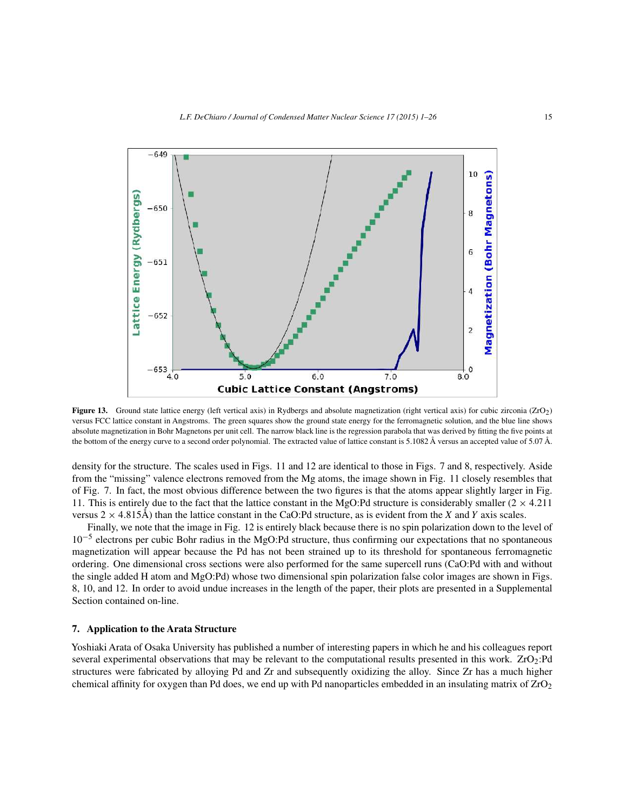

**Figure 13.** Ground state lattice energy (left vertical axis) in Rydbergs and absolute magnetization (right vertical axis) for cubic zirconia (ZrO<sub>2</sub>) versus FCC lattice constant in Angstroms. The green squares show the ground state energy for the ferromagnetic solution, and the blue line shows absolute magnetization in Bohr Magnetons per unit cell. The narrow black line is the regression parabola that was derived by fitting the five points at the bottom of the energy curve to a second order polynomial. The extracted value of lattice constant is 5.1082 Å versus an accepted value of 5.07 Å.

density for the structure. The scales used in Figs. 11 and 12 are identical to those in Figs. 7 and 8, respectively. Aside from the "missing" valence electrons removed from the Mg atoms, the image shown in Fig. 11 closely resembles that of Fig. 7. In fact, the most obvious difference between the two figures is that the atoms appear slightly larger in Fig. 11. This is entirely due to the fact that the lattice constant in the MgO:Pd structure is considerably smaller  $(2 \times 4.211)$ versus  $2 \times 4.815\text{\AA}$ ) than the lattice constant in the CaO:Pd structure, as is evident from the *X* and *Y* axis scales.

Finally, we note that the image in Fig. 12 is entirely black because there is no spin polarization down to the level of 10−<sup>5</sup> electrons per cubic Bohr radius in the MgO:Pd structure, thus confirming our expectations that no spontaneous magnetization will appear because the Pd has not been strained up to its threshold for spontaneous ferromagnetic ordering. One dimensional cross sections were also performed for the same supercell runs (CaO:Pd with and without the single added H atom and MgO:Pd) whose two dimensional spin polarization false color images are shown in Figs. 8, 10, and 12. In order to avoid undue increases in the length of the paper, their plots are presented in a Supplemental Section contained on-line.

## **7. Application to the Arata Structure**

Yoshiaki Arata of Osaka University has published a number of interesting papers in which he and his colleagues report several experimental observations that may be relevant to the computational results presented in this work. ZrO<sub>2</sub>:Pd structures were fabricated by alloying Pd and Zr and subsequently oxidizing the alloy. Since Zr has a much higher chemical affinity for oxygen than Pd does, we end up with Pd nanoparticles embedded in an insulating matrix of ZrO<sub>2</sub>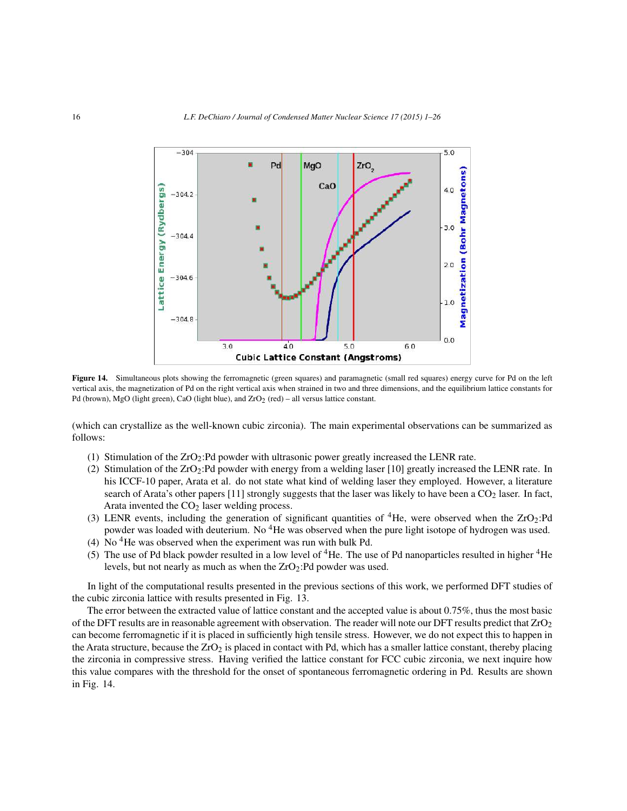

Figure 14. Simultaneous plots showing the ferromagnetic (green squares) and paramagnetic (small red squares) energy curve for Pd on the left vertical axis, the magnetization of Pd on the right vertical axis when strained in two and three dimensions, and the equilibrium lattice constants for Pd (brown), MgO (light green), CaO (light blue), and  $ZrO<sub>2</sub>$  (red) – all versus lattice constant.

(which can crystallize as the well-known cubic zirconia). The main experimental observations can be summarized as follows:

- (1) Stimulation of the ZrO2:Pd powder with ultrasonic power greatly increased the LENR rate.
- (2) Stimulation of the  $ZrO_2$ : Pd powder with energy from a welding laser [10] greatly increased the LENR rate. In his ICCF-10 paper, Arata et al. do not state what kind of welding laser they employed. However, a literature search of Arata's other papers  $[11]$  strongly suggests that the laser was likely to have been a  $CO<sub>2</sub>$  laser. In fact, Arata invented the  $CO<sub>2</sub>$  laser welding process.
- (3) LENR events, including the generation of significant quantities of <sup>4</sup>He, were observed when the ZrO<sub>2</sub>:Pd powder was loaded with deuterium. No <sup>4</sup>He was observed when the pure light isotope of hydrogen was used.
- (4) No  ${}^{4}$ He was observed when the experiment was run with bulk Pd.
- (5) The use of Pd black powder resulted in a low level of  ${}^{4}$ He. The use of Pd nanoparticles resulted in higher  ${}^{4}$ He levels, but not nearly as much as when the  $ZrO<sub>2</sub>$ :Pd powder was used.

In light of the computational results presented in the previous sections of this work, we performed DFT studies of the cubic zirconia lattice with results presented in Fig. 13.

The error between the extracted value of lattice constant and the accepted value is about 0.75%, thus the most basic of the DFT results are in reasonable agreement with observation. The reader will note our DFT results predict that ZrO2 can become ferromagnetic if it is placed in sufficiently high tensile stress. However, we do not expect this to happen in the Arata structure, because the  $ZrO<sub>2</sub>$  is placed in contact with Pd, which has a smaller lattice constant, thereby placing the zirconia in compressive stress. Having verified the lattice constant for FCC cubic zirconia, we next inquire how this value compares with the threshold for the onset of spontaneous ferromagnetic ordering in Pd. Results are shown in Fig. 14.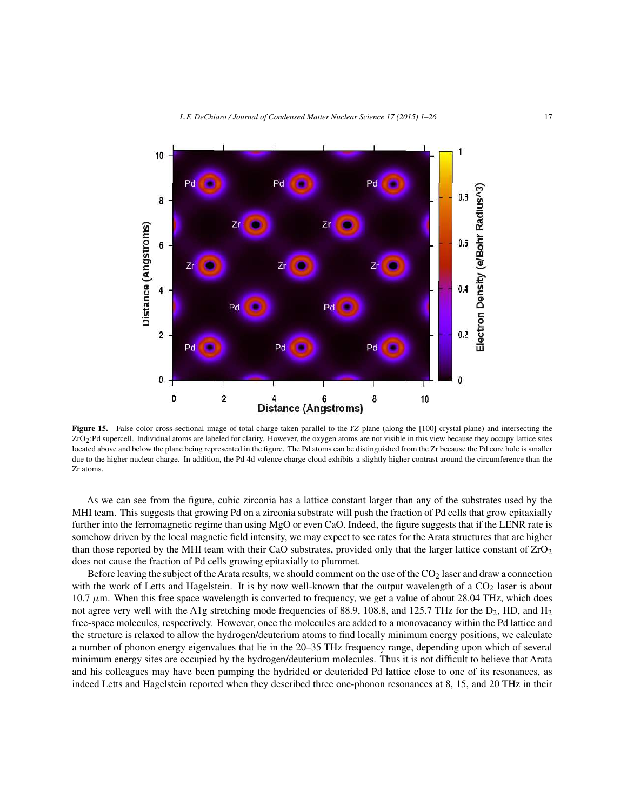

**Figure 15.** False color cross-sectional image of total charge taken parallel to the *YZ* plane (along the [100] crystal plane) and intersecting the ZrO2:Pd supercell. Individual atoms are labeled for clarity. However, the oxygen atoms are not visible in this view because they occupy lattice sites located above and below the plane being represented in the figure. The Pd atoms can be distinguished from the Zr because the Pd core hole is smaller due to the higher nuclear charge. In addition, the Pd 4d valence charge cloud exhibits a slightly higher contrast around the circumference than the Zr atoms.

As we can see from the figure, cubic zirconia has a lattice constant larger than any of the substrates used by the MHI team. This suggests that growing Pd on a zirconia substrate will push the fraction of Pd cells that grow epitaxially further into the ferromagnetic regime than using MgO or even CaO. Indeed, the figure suggests that if the LENR rate is somehow driven by the local magnetic field intensity, we may expect to see rates for the Arata structures that are higher than those reported by the MHI team with their CaO substrates, provided only that the larger lattice constant of  $ZrO<sub>2</sub>$ does not cause the fraction of Pd cells growing epitaxially to plummet.

Before leaving the subject of the Arata results, we should comment on the use of the  $CO<sub>2</sub>$  laser and draw a connection with the work of Letts and Hagelstein. It is by now well-known that the output wavelength of a  $CO<sub>2</sub>$  laser is about 10.7  $\mu$ m. When this free space wavelength is converted to frequency, we get a value of about 28.04 THz, which does not agree very well with the A1g stretching mode frequencies of 88.9, 108.8, and 125.7 THz for the D<sub>2</sub>, HD, and H<sub>2</sub> free-space molecules, respectively. However, once the molecules are added to a monovacancy within the Pd lattice and the structure is relaxed to allow the hydrogen/deuterium atoms to find locally minimum energy positions, we calculate a number of phonon energy eigenvalues that lie in the 20–35 THz frequency range, depending upon which of several minimum energy sites are occupied by the hydrogen/deuterium molecules. Thus it is not difficult to believe that Arata and his colleagues may have been pumping the hydrided or deuterided Pd lattice close to one of its resonances, as indeed Letts and Hagelstein reported when they described three one-phonon resonances at 8, 15, and 20 THz in their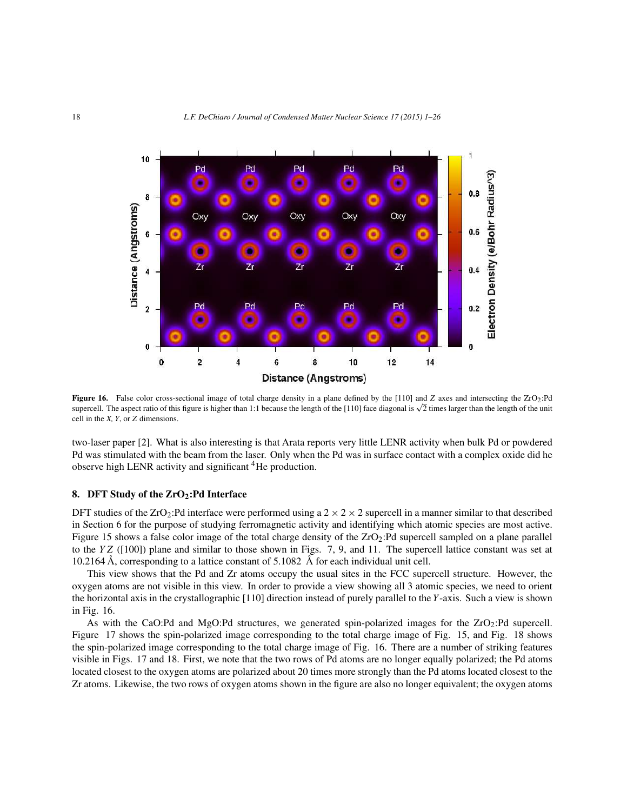

Figure 16. False color cross-sectional image of total charge density in a plane defined by the [110] and *Z* axes and intersecting the ZrO<sub>2</sub>:Pd supercell. The aspect ratio of this figure is higher than 1:1 because the length of the [110] face diagonal is  $\sqrt{2}$  times larger than the length of the unit cell in the *X, Y*, or *Z* dimensions.

two-laser paper [2]. What is also interesting is that Arata reports very little LENR activity when bulk Pd or powdered Pd was stimulated with the beam from the laser. Only when the Pd was in surface contact with a complex oxide did he observe high LENR activity and significant  ${}^{4}$ He production.

#### **8. DFT Study of the ZrO2:Pd Interface**

DFT studies of the ZrO<sub>2</sub>:Pd interface were performed using a  $2 \times 2 \times 2$  supercell in a manner similar to that described in Section 6 for the purpose of studying ferromagnetic activity and identifying which atomic species are most active. Figure 15 shows a false color image of the total charge density of the  $ZrO_2$ : Pd supercell sampled on a plane parallel to the  $YZ$  ([100]) plane and similar to those shown in Figs. 7, 9, and 11. The supercell lattice constant was set at 10.2164 Å, corresponding to a lattice constant of  $5.1082$  Å for each individual unit cell.

This view shows that the Pd and Zr atoms occupy the usual sites in the FCC supercell structure. However, the oxygen atoms are not visible in this view. In order to provide a view showing all 3 atomic species, we need to orient the horizontal axis in the crystallographic [110] direction instead of purely parallel to the *Y*-axis. Such a view is shown in Fig. 16.

As with the CaO:Pd and MgO:Pd structures, we generated spin-polarized images for the ZrO2:Pd supercell. Figure 17 shows the spin-polarized image corresponding to the total charge image of Fig. 15, and Fig. 18 shows the spin-polarized image corresponding to the total charge image of Fig. 16. There are a number of striking features visible in Figs. 17 and 18. First, we note that the two rows of Pd atoms are no longer equally polarized; the Pd atoms located closest to the oxygen atoms are polarized about 20 times more strongly than the Pd atoms located closest to the Zr atoms. Likewise, the two rows of oxygen atoms shown in the figure are also no longer equivalent; the oxygen atoms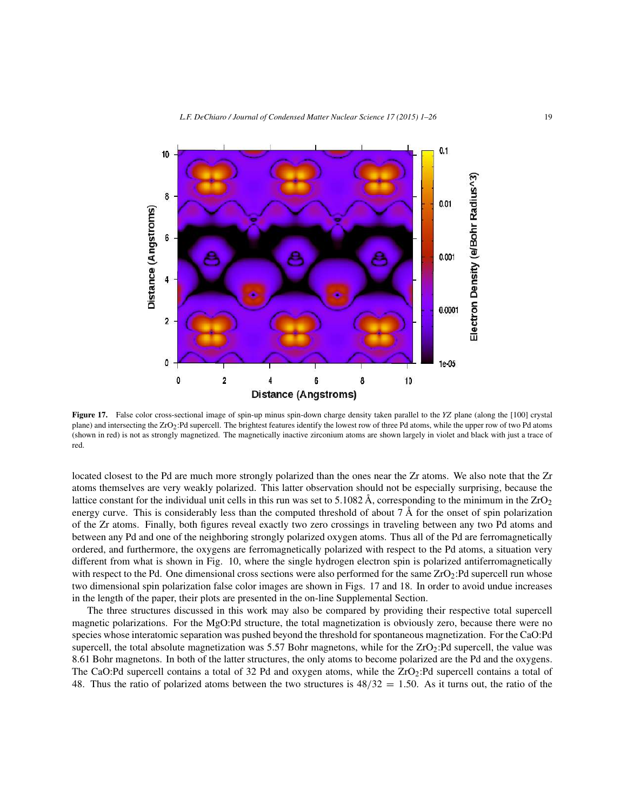

**Figure 17.** False color cross-sectional image of spin-up minus spin-down charge density taken parallel to the *YZ* plane (along the [100] crystal plane) and intersecting the ZrO<sub>2</sub>:Pd supercell. The brightest features identify the lowest row of three Pd atoms, while the upper row of two Pd atoms (shown in red) is not as strongly magnetized. The magnetically inactive zirconium atoms are shown largely in violet and black with just a trace of red.

located closest to the Pd are much more strongly polarized than the ones near the Zr atoms. We also note that the Zr atoms themselves are very weakly polarized. This latter observation should not be especially surprising, because the lattice constant for the individual unit cells in this run was set to 5.1082 Å, corresponding to the minimum in the  $ZrO<sub>2</sub>$ energy curve. This is considerably less than the computed threshold of about  $7 \text{ Å}$  for the onset of spin polarization of the Zr atoms. Finally, both figures reveal exactly two zero crossings in traveling between any two Pd atoms and between any Pd and one of the neighboring strongly polarized oxygen atoms. Thus all of the Pd are ferromagnetically ordered, and furthermore, the oxygens are ferromagnetically polarized with respect to the Pd atoms, a situation very different from what is shown in Fig. 10, where the single hydrogen electron spin is polarized antiferromagnetically with respect to the Pd. One dimensional cross sections were also performed for the same  $ZrO<sub>2</sub>$ :Pd supercell run whose two dimensional spin polarization false color images are shown in Figs. 17 and 18. In order to avoid undue increases in the length of the paper, their plots are presented in the on-line Supplemental Section.

The three structures discussed in this work may also be compared by providing their respective total supercell magnetic polarizations. For the MgO:Pd structure, the total magnetization is obviously zero, because there were no species whose interatomic separation was pushed beyond the threshold for spontaneous magnetization. For the CaO:Pd supercell, the total absolute magnetization was 5.57 Bohr magnetons, while for the ZrO2:Pd supercell, the value was 8.61 Bohr magnetons. In both of the latter structures, the only atoms to become polarized are the Pd and the oxygens. The CaO:Pd supercell contains a total of 32 Pd and oxygen atoms, while the  $ZrO_2$ :Pd supercell contains a total of 48. Thus the ratio of polarized atoms between the two structures is  $48/32 = 1.50$ . As it turns out, the ratio of the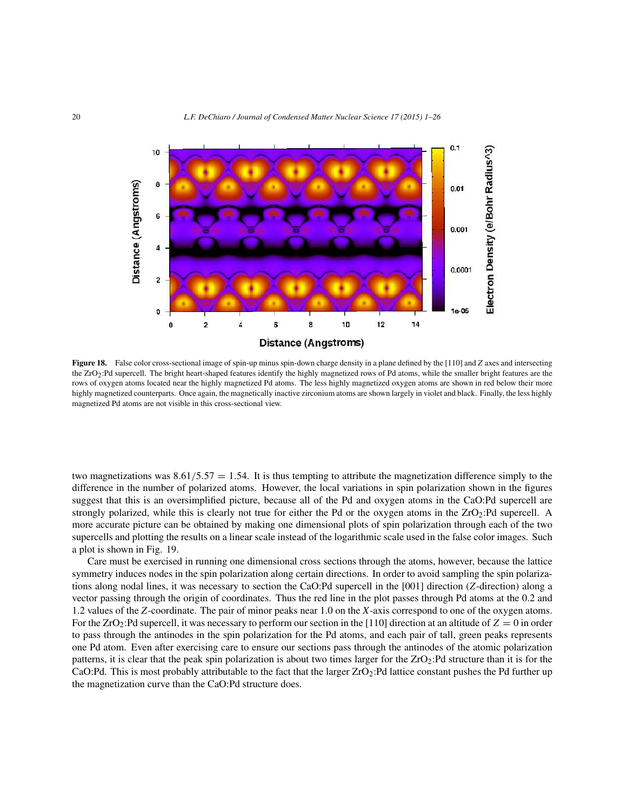

**Figure 18.** False color cross-sectional image of spin-up minus spin-down charge density in a plane defined by the [110] and *Z* axes and intersecting the ZrO<sub>2</sub>:Pd supercell. The bright heart-shaped features identify the highly magnetized rows of Pd atoms, while the smaller bright features are the rows of oxygen atoms located near the highly magnetized Pd atoms. The less highly magnetized oxygen atoms are shown in red below their more highly magnetized counterparts. Once again, the magnetically inactive zirconium atoms are shown largely in violet and black. Finally, the less highly magnetized Pd atoms are not visible in this cross-sectional view.

two magnetizations was  $8.61/5.57 = 1.54$ . It is thus tempting to attribute the magnetization difference simply to the difference in the number of polarized atoms. However, the local variations in spin polarization shown in the figures suggest that this is an oversimplified picture, because all of the Pd and oxygen atoms in the CaO:Pd supercell are strongly polarized, while this is clearly not true for either the Pd or the oxygen atoms in the ZrO2:Pd supercell. A more accurate picture can be obtained by making one dimensional plots of spin polarization through each of the two supercells and plotting the results on a linear scale instead of the logarithmic scale used in the false color images. Such a plot is shown in Fig. 19.

Care must be exercised in running one dimensional cross sections through the atoms, however, because the lattice symmetry induces nodes in the spin polarization along certain directions. In order to avoid sampling the spin polarizations along nodal lines, it was necessary to section the CaO:Pd supercell in the [001] direction (*Z*-direction) along a vector passing through the origin of coordinates. Thus the red line in the plot passes through Pd atoms at the 0.2 and 1.2 values of the *Z*-coordinate. The pair of minor peaks near 1.0 on the *X*-axis correspond to one of the oxygen atoms. For the  $ZrO_2$ : Pd supercell, it was necessary to perform our section in the [110] direction at an altitude of  $Z = 0$  in order to pass through the antinodes in the spin polarization for the Pd atoms, and each pair of tall, green peaks represents one Pd atom. Even after exercising care to ensure our sections pass through the antinodes of the atomic polarization patterns, it is clear that the peak spin polarization is about two times larger for the  $ZrO<sub>2</sub>$ :Pd structure than it is for the CaO:Pd. This is most probably attributable to the fact that the larger  $ZrO_2$ :Pd lattice constant pushes the Pd further up the magnetization curve than the CaO:Pd structure does.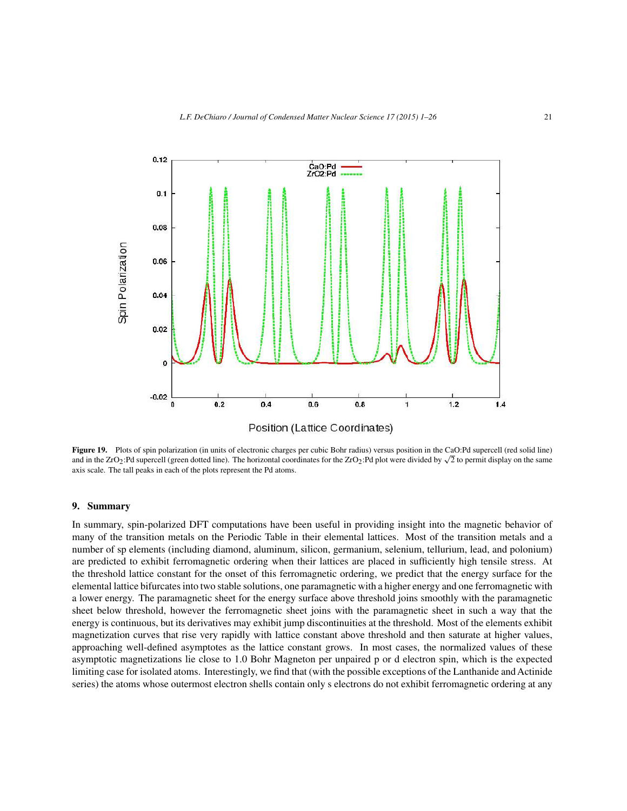

Figure 19. Plots of spin polarization (in units of electronic charges per cubic Bohr radius) versus position in the CaO:Pd supercell (red solid line) and in the ZrO<sub>2</sub>:Pd supercell (green dotted line). The horizontal coordinates for the ZrO<sub>2</sub>:Pd plot were divided by  $\sqrt{2}$  to permit display on the same axis scale. The tall peaks in each of the plots represent the Pd atoms.

#### **9. Summary**

In summary, spin-polarized DFT computations have been useful in providing insight into the magnetic behavior of many of the transition metals on the Periodic Table in their elemental lattices. Most of the transition metals and a number of sp elements (including diamond, aluminum, silicon, germanium, selenium, tellurium, lead, and polonium) are predicted to exhibit ferromagnetic ordering when their lattices are placed in sufficiently high tensile stress. At the threshold lattice constant for the onset of this ferromagnetic ordering, we predict that the energy surface for the elemental lattice bifurcates into two stable solutions, one paramagnetic with a higher energy and one ferromagnetic with a lower energy. The paramagnetic sheet for the energy surface above threshold joins smoothly with the paramagnetic sheet below threshold, however the ferromagnetic sheet joins with the paramagnetic sheet in such a way that the energy is continuous, but its derivatives may exhibit jump discontinuities at the threshold. Most of the elements exhibit magnetization curves that rise very rapidly with lattice constant above threshold and then saturate at higher values, approaching well-defined asymptotes as the lattice constant grows. In most cases, the normalized values of these asymptotic magnetizations lie close to 1.0 Bohr Magneton per unpaired p or d electron spin, which is the expected limiting case for isolated atoms. Interestingly, we find that (with the possible exceptions of the Lanthanide and Actinide series) the atoms whose outermost electron shells contain only s electrons do not exhibit ferromagnetic ordering at any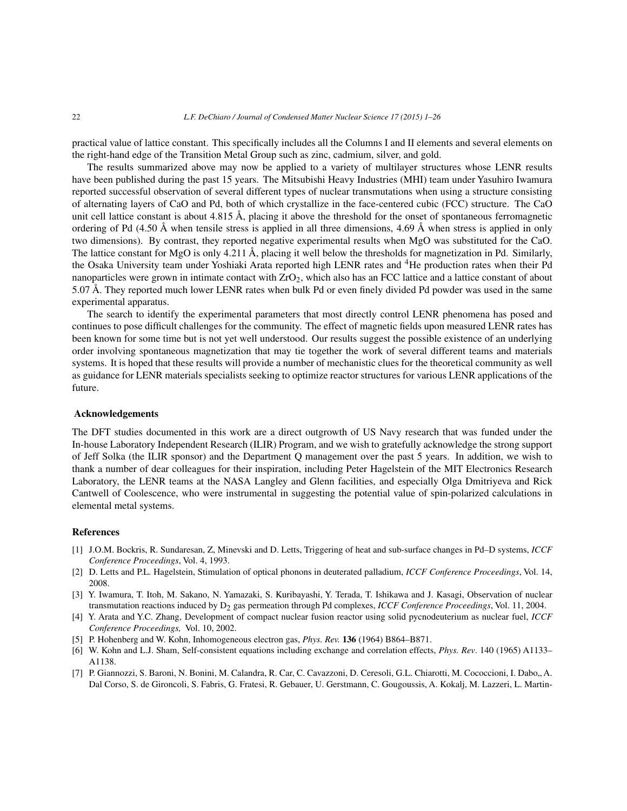practical value of lattice constant. This specifically includes all the Columns I and II elements and several elements on the right-hand edge of the Transition Metal Group such as zinc, cadmium, silver, and gold.

The results summarized above may now be applied to a variety of multilayer structures whose LENR results have been published during the past 15 years. The Mitsubishi Heavy Industries (MHI) team under Yasuhiro Iwamura reported successful observation of several different types of nuclear transmutations when using a structure consisting of alternating layers of CaO and Pd, both of which crystallize in the face-centered cubic (FCC) structure. The CaO unit cell lattice constant is about 4.815 Å, placing it above the threshold for the onset of spontaneous ferromagnetic ordering of Pd  $(4.50 \text{ Å}$  when tensile stress is applied in all three dimensions, 4.69 Å when stress is applied in only two dimensions). By contrast, they reported negative experimental results when MgO was substituted for the CaO. The lattice constant for MgO is only 4.211 Å, placing it well below the thresholds for magnetization in Pd. Similarly, the Osaka University team under Yoshiaki Arata reported high LENR rates and 4He production rates when their Pd nanoparticles were grown in intimate contact with ZrO<sub>2</sub>, which also has an FCC lattice and a lattice constant of about 5.07 Å. They reported much lower LENR rates when bulk Pd or even finely divided Pd powder was used in the same experimental apparatus.

The search to identify the experimental parameters that most directly control LENR phenomena has posed and continues to pose difficult challenges for the community. The effect of magnetic fields upon measured LENR rates has been known for some time but is not yet well understood. Our results suggest the possible existence of an underlying order involving spontaneous magnetization that may tie together the work of several different teams and materials systems. It is hoped that these results will provide a number of mechanistic clues for the theoretical community as well as guidance for LENR materials specialists seeking to optimize reactor structures for various LENR applications of the future.

#### **Acknowledgements**

The DFT studies documented in this work are a direct outgrowth of US Navy research that was funded under the In-house Laboratory Independent Research (ILIR) Program, and we wish to gratefully acknowledge the strong support of Jeff Solka (the ILIR sponsor) and the Department Q management over the past 5 years. In addition, we wish to thank a number of dear colleagues for their inspiration, including Peter Hagelstein of the MIT Electronics Research Laboratory, the LENR teams at the NASA Langley and Glenn facilities, and especially Olga Dmitriyeva and Rick Cantwell of Coolescence, who were instrumental in suggesting the potential value of spin-polarized calculations in elemental metal systems.

#### **References**

- [1] J.O.M. Bockris, R. Sundaresan, Z, Minevski and D. Letts, Triggering of heat and sub-surface changes in Pd–D systems, *ICCF Conference Proceedings*, Vol. 4, 1993.
- [2] D. Letts and P.L. Hagelstein, Stimulation of optical phonons in deuterated palladium, *ICCF Conference Proceedings*, Vol. 14, 2008.
- [3] Y. Iwamura, T. Itoh, M. Sakano, N. Yamazaki, S. Kuribayashi, Y. Terada, T. Ishikawa and J. Kasagi, Observation of nuclear transmutation reactions induced by D<sub>2</sub> gas permeation through Pd complexes, *ICCF Conference Proceedings*, Vol. 11, 2004.
- [4] Y. Arata and Y.C. Zhang, Development of compact nuclear fusion reactor using solid pycnodeuterium as nuclear fuel, *ICCF Conference Proceedings,* Vol. 10, 2002.
- [5] P. Hohenberg and W. Kohn, Inhomogeneous electron gas, *Phys. Rev.* **136** (1964) B864–B871.
- [6] W. Kohn and L.J. Sham, Self-consistent equations including exchange and correlation effects, *Phys. Rev*. 140 (1965) A1133– A1138.
- [7] P. Giannozzi, S. Baroni, N. Bonini, M. Calandra, R. Car, C. Cavazzoni, D. Ceresoli, G.L. Chiarotti, M. Cococcioni, I. Dabo., A. Dal Corso, S. de Gironcoli, S. Fabris, G. Fratesi, R. Gebauer, U. Gerstmann, C. Gougoussis, A. Kokalj, M. Lazzeri, L. Martin-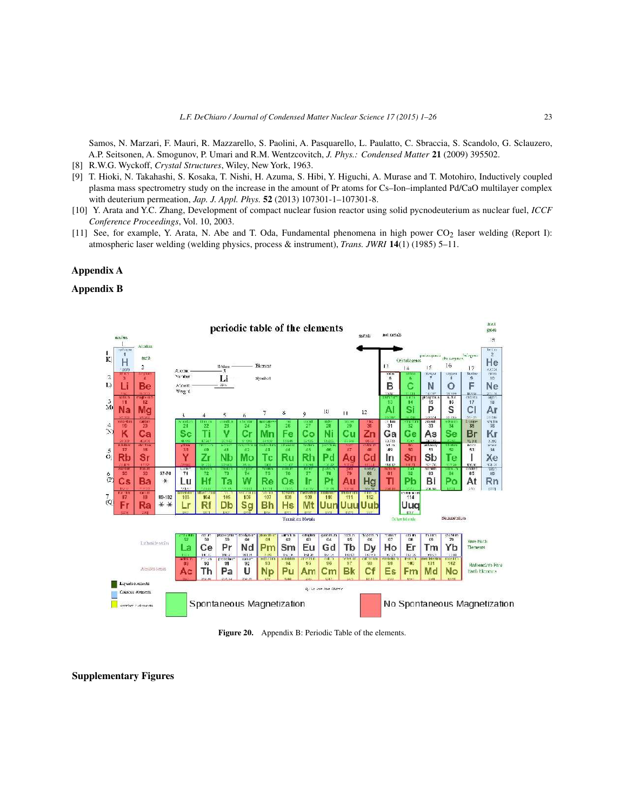Samos, N. Marzari, F. Mauri, R. Mazzarello, S. Paolini, A. Pasquarello, L. Paulatto, C. Sbraccia, S. Scandolo, G. Sclauzero, A.P. Seitsonen, A. Smogunov, P. Umari and R.M. Wentzcovitch, *J. Phys.: Condensed Matter* **21** (2009) 395502.

- [8] R.W.G. Wyckoff, *Crystal Structures*, Wiley, New York, 1963.
- [9] T. Hioki, N. Takahashi, S. Kosaka, T. Nishi, H. Azuma, S. Hibi, Y. Higuchi, A. Murase and T. Motohiro, Inductively coupled plasma mass spectrometry study on the increase in the amount of Pr atoms for Cs–Ion–implanted Pd/CaO multilayer complex with deuterium permeation, *Jap. J. Appl. Phys.* **52** (2013) 107301-1–107301-8.
- [10] Y. Arata and Y.C. Zhang, Development of compact nuclear fusion reactor using solid pycnodeuterium as nuclear fuel, *ICCF Conference Proceedings*, Vol. 10, 2003.
- [11] See, for example, Y. Arata, N. Abe and T. Oda, Fundamental phenomena in high power  $CO<sub>2</sub>$  laser welding (Report I): atmospheric laser welding (welding physics, process & instrument), *Trans. JWRI* **14**(1) (1985) 5–11.

## **Appendix A**

#### **Appendix B**



**Figure 20.** Appendix B: Periodic Table of the elements.

**Supplementary Figures**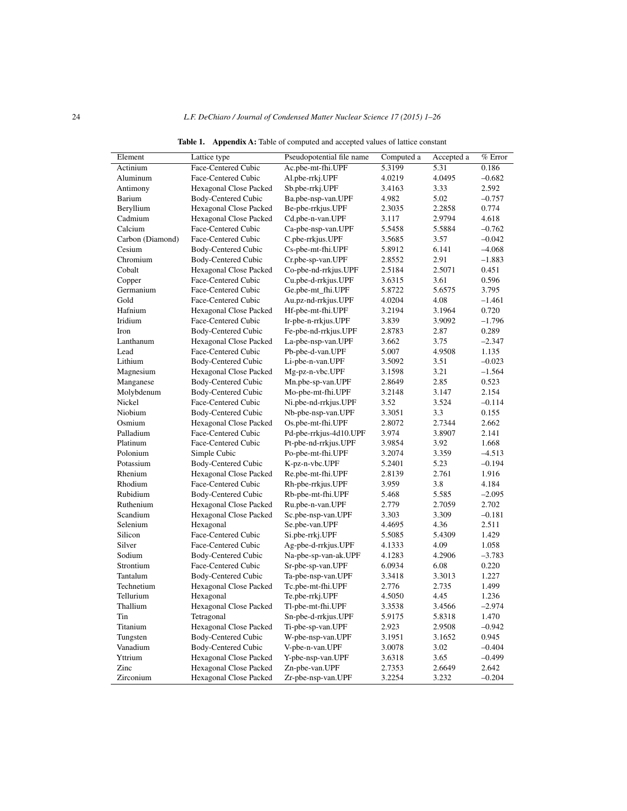| Element          | Lattice type           | Pseudopotential file name | Computed a | Accepted a | % Error  |
|------------------|------------------------|---------------------------|------------|------------|----------|
| Actinium         | Face-Centered Cubic    | Ac.pbe-mt-fhi.UPF         | 5.3199     | 5.31       | 0.186    |
| Aluminum         | Face-Centered Cubic    | Al.pbe-rrkj.UPF           | 4.0219     | 4.0495     | $-0.682$ |
| Antimony         | Hexagonal Close Packed | Sb.pbe-rrkj.UPF           | 3.4163     | 3.33       | 2.592    |
| Barium           | Body-Centered Cubic    | Ba.pbe-nsp-van.UPF        | 4.982      | 5.02       | $-0.757$ |
| Beryllium        | Hexagonal Close Packed | Be-pbe-rrkjus.UPF         | 2.3035     | 2.2858     | 0.774    |
| Cadmium          | Hexagonal Close Packed | Cd.pbe-n-van.UPF          | 3.117      | 2.9794     | 4.618    |
| Calcium          | Face-Centered Cubic    | Ca-pbe-nsp-van.UPF        | 5.5458     | 5.5884     | $-0.762$ |
| Carbon (Diamond) | Face-Centered Cubic    | C.pbe-rrkjus.UPF          | 3.5685     | 3.57       | $-0.042$ |
| Cesium           | Body-Centered Cubic    | Cs-pbe-mt-fhi.UPF         | 5.8912     | 6.141      | $-4.068$ |
| Chromium         | Body-Centered Cubic    | Cr.pbe-sp-van.UPF         | 2.8552     | 2.91       | $-1.883$ |
| Cobalt           | Hexagonal Close Packed | Co-pbe-nd-rrkjus.UPF      | 2.5184     | 2.5071     | 0.451    |
| Copper           | Face-Centered Cubic    | Cu.pbe-d-rrkjus.UPF       | 3.6315     | 3.61       | 0.596    |
| Germanium        | Face-Centered Cubic    | Ge.pbe-mt_fhi.UPF         | 5.8722     | 5.6575     | 3.795    |
| Gold             | Face-Centered Cubic    | Au.pz-nd-rrkjus.UPF       | 4.0204     | 4.08       | $-1.461$ |
| Hafnium          | Hexagonal Close Packed | Hf-pbe-mt-fhi.UPF         | 3.2194     | 3.1964     | 0.720    |
| Iridium          | Face-Centered Cubic    | Ir-pbe-n-rrkjus.UPF       | 3.839      | 3.9092     | $-1.796$ |
| Iron             | Body-Centered Cubic    | Fe-pbe-nd-rrkjus.UPF      | 2.8783     | 2.87       | 0.289    |
| Lanthanum        | Hexagonal Close Packed | La-pbe-nsp-van.UPF        | 3.662      | 3.75       | $-2.347$ |
| Lead             | Face-Centered Cubic    | Pb-pbe-d-van.UPF          | 5.007      | 4.9508     | 1.135    |
| Lithium          | Body-Centered Cubic    | Li-pbe-n-van.UPF          | 3.5092     | 3.51       | $-0.023$ |
| Magnesium        | Hexagonal Close Packed | Mg-pz-n-vbc.UPF           | 3.1598     | 3.21       | $-1.564$ |
| Manganese        | Body-Centered Cubic    | Mn.pbe-sp-van.UPF         | 2.8649     | 2.85       | 0.523    |
| Molybdenum       | Body-Centered Cubic    | Mo-pbe-mt-fhi.UPF         | 3.2148     | 3.147      | 2.154    |
| Nickel           | Face-Centered Cubic    | Ni.pbe-nd-rrkjus.UPF      | 3.52       | 3.524      | $-0.114$ |
| Niobium          | Body-Centered Cubic    | Nb-pbe-nsp-van.UPF        | 3.3051     | 3.3        | 0.155    |
| Osmium           | Hexagonal Close Packed | Os.pbe-mt-fhi.UPF         | 2.8072     | 2.7344     | 2.662    |
| Palladium        | Face-Centered Cubic    | Pd-pbe-rrkjus-4d10.UPF    | 3.974      | 3.8907     | 2.141    |
| Platinum         | Face-Centered Cubic    | Pt-pbe-nd-rrkjus.UPF      | 3.9854     | 3.92       | 1.668    |
| Polonium         | Simple Cubic           | Po-pbe-mt-fhi.UPF         | 3.2074     | 3.359      | $-4.513$ |
| Potassium        | Body-Centered Cubic    | K-pz-n-vbc.UPF            | 5.2401     | 5.23       | $-0.194$ |
| Rhenium          | Hexagonal Close Packed | Re.pbe-mt-fhi.UPF         | 2.8139     | 2.761      | 1.916    |
| Rhodium          | Face-Centered Cubic    | Rh-pbe-rrkjus.UPF         | 3.959      | 3.8        | 4.184    |
| Rubidium         | Body-Centered Cubic    | Rb-pbe-mt-fhi.UPF         | 5.468      | 5.585      | $-2.095$ |
| Ruthenium        | Hexagonal Close Packed | Ru.pbe-n-van.UPF          | 2.779      | 2.7059     | 2.702    |
| Scandium         | Hexagonal Close Packed | Sc.pbe-nsp-van.UPF        | 3.303      | 3.309      | $-0.181$ |
| Selenium         | Hexagonal              | Se.pbe-van.UPF            | 4.4695     | 4.36       | 2.511    |
| Silicon          | Face-Centered Cubic    | Si.pbe-rrkj.UPF           | 5.5085     | 5.4309     | 1.429    |
| Silver           | Face-Centered Cubic    | Ag-pbe-d-rrkjus.UPF       | 4.1333     | 4.09       | 1.058    |
| Sodium           | Body-Centered Cubic    | Na-pbe-sp-van-ak.UPF      | 4.1283     | 4.2906     | $-3.783$ |
| Strontium        | Face-Centered Cubic    | Sr-pbe-sp-van.UPF         | 6.0934     | 6.08       | 0.220    |
| Tantalum         | Body-Centered Cubic    | Ta-pbe-nsp-van.UPF        | 3.3418     | 3.3013     | 1.227    |
| Technetium       | Hexagonal Close Packed | Tc.pbe-mt-fhi.UPF         | 2.776      | 2.735      | 1.499    |
| Tellurium        | Hexagonal              | Te.pbe-rrkj.UPF           | 4.5050     | 4.45       | 1.236    |
| Thallium         | Hexagonal Close Packed | Tl-pbe-mt-fhi.UPF         | 3.3538     | 3.4566     | $-2.974$ |
| Tin              | Tetragonal             | Sn-pbe-d-rrkjus.UPF       | 5.9175     | 5.8318     | 1.470    |
| Titanium         | Hexagonal Close Packed | Ti-pbe-sp-van.UPF         | 2.923      | 2.9508     | $-0.942$ |
| Tungsten         | Body-Centered Cubic    | W-pbe-nsp-van.UPF         | 3.1951     | 3.1652     | 0.945    |
| Vanadium         | Body-Centered Cubic    | V-pbe-n-van.UPF           | 3.0078     | 3.02       | $-0.404$ |
| Yttrium          | Hexagonal Close Packed | Y-pbe-nsp-van.UPF         | 3.6318     | 3.65       | $-0.499$ |
| Zinc             | Hexagonal Close Packed | Zn-pbe-van.UPF            | 2.7353     | 2.6649     | 2.642    |
| Zirconium        | Hexagonal Close Packed | Zr-pbe-nsp-van.UPF        | 3.2254     | 3.232      | $-0.204$ |

**Table 1. Appendix A:** Table of computed and accepted values of lattice constant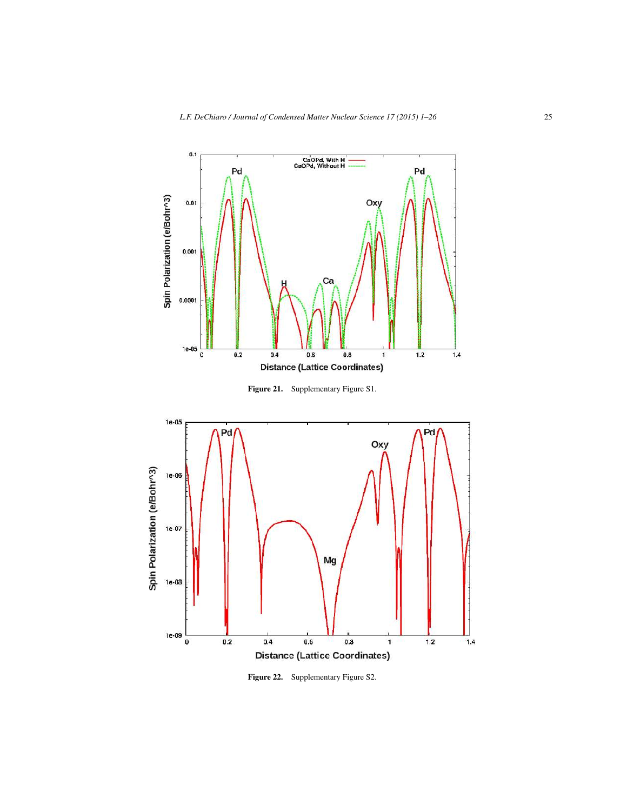

**Figure 21.** Supplementary Figure S1.



Figure 22. Supplementary Figure S2.